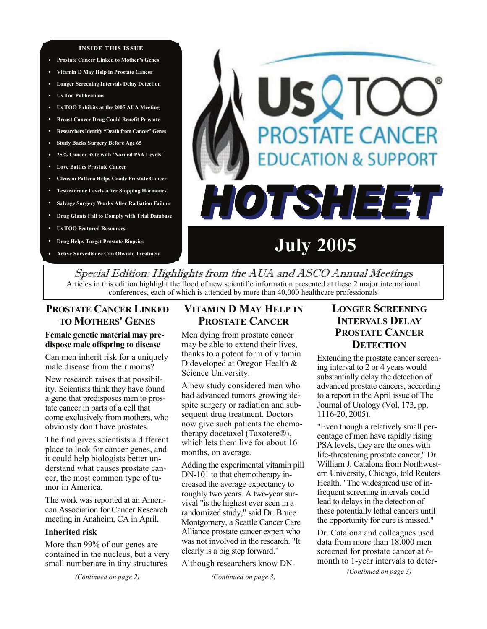#### **INSIDE THIS ISSUE**

- **Prostate Cancer Linked to Mother's Genes**
- **• Vitamin D May Help in Prostate Cancer**
- **• Longer Screening Intervals Delay Detection**
- **• Us Too Publications**
- **• Us TOO Exhibits at the 2005 AUA Meeting**
- **• Breast Cancer Drug Could Benefit Prostate**
- **• Researchers Identify "Death from Cancer" Genes**
- **• Study Backs Surgery Before Age 65**
- **• 25% Cancer Rate with 'Normal PSA Levels'**
- **• Love Battles Prostate Cancer**
- **• Gleason Pattern Helps Grade Prostate Cancer**
- **Testosterone Levels After Stopping Hormones**
- **Salvage Surgery Works After Radiation Failure**
- **Drug Giants Fail to Comply with Trial Database**
- **Us TOO Featured Resources**
- **Drug Helps Target Prostate Biopsies**
- **Active Surveillance Can Obviate Treatment**

# USQTC **PROSTATE CANCER DUCATION & SUPPORT** HOTSHEET

**July 2005** 

Special Edition: Highlights from the AUA and ASCO Annual Meetings Articles in this edition highlight the flood of new scientific information presented at these 2 major international conferences, each of which is attended by more than 40,000 healthcare professionals

# **PROSTATE CANCER LINKED TO MOTHERS' GENES**

#### **Female genetic material may predispose male offspring to disease**

Can men inherit risk for a uniquely male disease from their moms?

New research raises that possibility. Scientists think they have found a gene that predisposes men to prostate cancer in parts of a cell that come exclusively from mothers, who obviously don't have prostates.

The find gives scientists a different place to look for cancer genes, and it could help biologists better understand what causes prostate cancer, the most common type of tumor in America.

The work was reported at an American Association for Cancer Research meeting in Anaheim, CA in April.

#### **Inherited risk**

More than 99% of our genes are contained in the nucleus, but a very small number are in tiny structures

*(Continued on page 2)* 

# **VITAMIN D MAY HELP IN PROSTATE CANCER**

Men dying from prostate cancer may be able to extend their lives, thanks to a potent form of vitamin D developed at Oregon Health & Science University.

A new study considered men who had advanced tumors growing despite surgery or radiation and subsequent drug treatment. Doctors now give such patients the chemotherapy docetaxel (Taxotere®), which lets them live for about 16 months, on average.

Adding the experimental vitamin pill DN-101 to that chemotherapy increased the average expectancy to roughly two years. A two-year survival "is the highest ever seen in a randomized study," said Dr. Bruce Montgomery, a Seattle Cancer Care Alliance prostate cancer expert who was not involved in the research. "It clearly is a big step forward."

Although researchers know DN-

*(Continued on page 3)* 

# **LONGER SCREENING INTERVALS DELAY PROSTATE CANCER DETECTION**

Extending the prostate cancer screening interval to 2 or 4 years would substantially delay the detection of advanced prostate cancers, according to a report in the April issue of The Journal of Urology (Vol. 173, pp. 1116-20, 2005).

"Even though a relatively small percentage of men have rapidly rising PSA levels, they are the ones with life-threatening prostate cancer," Dr. William J. Catalona from Northwestern University, Chicago, told Reuters Health. "The widespread use of infrequent screening intervals could lead to delays in the detection of these potentially lethal cancers until the opportunity for cure is missed."

Dr. Catalona and colleagues used data from more than 18,000 men screened for prostate cancer at 6 month to 1-year intervals to deter-

*(Continued on page 3)*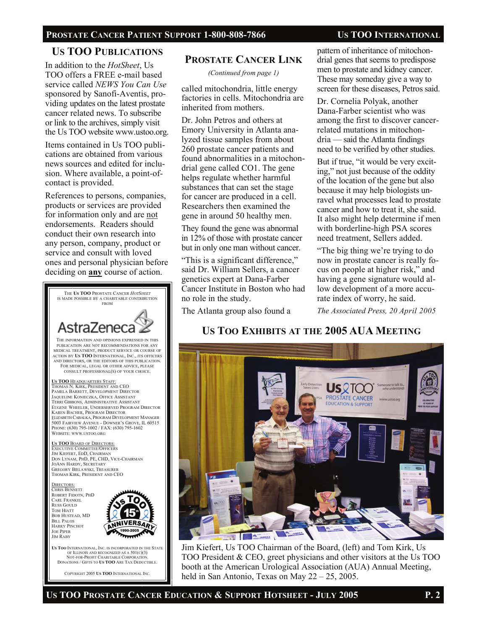## **US TOO PUBLICATIONS**

In addition to the *HotSheet*, Us TOO offers a FREE e-mail based service called *NEWS You Can Use*  sponsored by Sanofi-Aventis, providing updates on the latest prostate cancer related news. To subscribe or link to the archives, simply visit the Us TOO website www.ustoo.org.

Items contained in Us TOO publications are obtained from various news sources and edited for inclusion. Where available, a point-ofcontact is provided.

References to persons, companies, products or services are provided for information only and are not endorsements. Readers should conduct their own research into any person, company, product or service and consult with loved ones and personal physician before deciding on **any** course of action.



COPYRIGHT 2005 **US TOO** INTERNATIONAL INC.

#### **PROSTATE CANCER LINK**

*(Continued from page 1)* 

called mitochondria, little energy factories in cells. Mitochondria are inherited from mothers.

Dr. John Petros and others at Emory University in Atlanta analyzed tissue samples from about 260 prostate cancer patients and found abnormalities in a mitochondrial gene called CO1. The gene helps regulate whether harmful substances that can set the stage for cancer are produced in a cell. Researchers then examined the gene in around 50 healthy men.

They found the gene was abnormal in 12% of those with prostate cancer but in only one man without cancer.

"This is a significant difference," said Dr. William Sellers, a cancer genetics expert at Dana-Farber Cancer Institute in Boston who had no role in the study.

The Atlanta group also found a

pattern of inheritance of mitochondrial genes that seems to predispose men to prostate and kidney cancer. These may someday give a way to screen for these diseases, Petros said.

Dr. Cornelia Polyak, another Dana-Farber scientist who was among the first to discover cancerrelated mutations in mitochondria — said the Atlanta findings need to be verified by other studies.

But if true, "it would be very exciting," not just because of the oddity of the location of the gene but also because it may help biologists unravel what processes lead to prostate cancer and how to treat it, she said. It also might help determine if men with borderline-high PSA scores need treatment, Sellers added.

"The big thing we're trying to do now in prostate cancer is really focus on people at higher risk," and having a gene signature would allow development of a more accurate index of worry, he said.

*The Associated Press, 20 April 2005* 

# **US TOO EXHIBITS AT THE 2005 AUA MEETING**



Jim Kiefert, Us TOO Chairman of the Board, (left) and Tom Kirk, Us TOO President & CEO, greet physicians and other visitors at the Us TOO booth at the American Urological Association (AUA) Annual Meeting, held in San Antonio, Texas on May 22 – 25, 2005.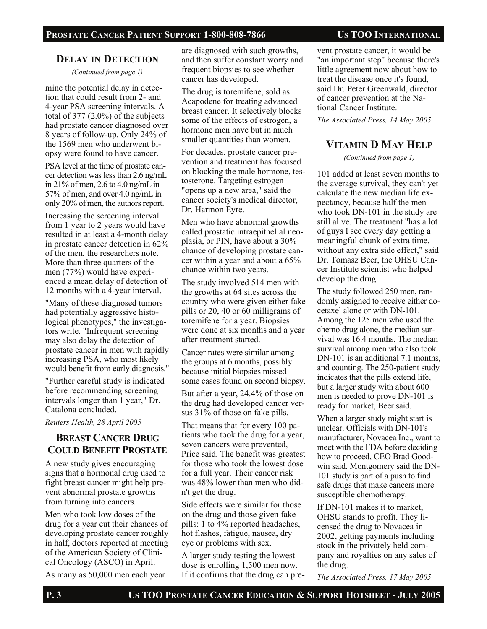#### **DELAY IN DETECTION**

*(Continued from page 1)* 

mine the potential delay in detection that could result from 2- and 4-year PSA screening intervals. A total of  $377$   $(2.0\%)$  of the subjects had prostate cancer diagnosed over 8 years of follow-up. Only 24% of the 1569 men who underwent biopsy were found to have cancer.

PSA level at the time of prostate cancer detection was less than 2.6 ng/mL in 21% of men, 2.6 to 4.0 ng/mL in 57% of men, and over 4.0 ng/mL in only 20% of men, the authors report.

Increasing the screening interval from 1 year to 2 years would have resulted in at least a 4-month delay in prostate cancer detection in 62% of the men, the researchers note. More than three quarters of the men (77%) would have experienced a mean delay of detection of 12 months with a 4-year interval.

"Many of these diagnosed tumors had potentially aggressive histological phenotypes," the investigators write. "Infrequent screening may also delay the detection of prostate cancer in men with rapidly increasing PSA, who most likely would benefit from early diagnosis."

"Further careful study is indicated before recommending screening intervals longer than 1 year," Dr. Catalona concluded.

*Reuters Health, 28 April 2005* 

# **BREAST CANCER DRUG COULD BENEFIT PROSTATE**

A new study gives encouraging signs that a hormonal drug used to fight breast cancer might help prevent abnormal prostate growths from turning into cancers.

Men who took low doses of the drug for a year cut their chances of developing prostate cancer roughly in half, doctors reported at meeting of the American Society of Clinical Oncology (ASCO) in April.

As many as 50,000 men each year

are diagnosed with such growths, and then suffer constant worry and frequent biopsies to see whether cancer has developed.

The drug is toremifene, sold as Acapodene for treating advanced breast cancer. It selectively blocks some of the effects of estrogen, a hormone men have but in much smaller quantities than women.

For decades, prostate cancer prevention and treatment has focused on blocking the male hormone, testosterone. Targeting estrogen "opens up a new area," said the cancer society's medical director, Dr. Harmon Eyre.

Men who have abnormal growths called prostatic intraepithelial neoplasia, or PIN, have about a 30% chance of developing prostate cancer within a year and about a 65% chance within two years.

The study involved 514 men with the growths at 64 sites across the country who were given either fake pills or 20, 40 or 60 milligrams of toremifene for a year. Biopsies were done at six months and a year after treatment started.

Cancer rates were similar among the groups at 6 months, possibly because initial biopsies missed some cases found on second biopsy.

But after a year, 24.4% of those on the drug had developed cancer versus 31% of those on fake pills.

That means that for every 100 patients who took the drug for a year, seven cancers were prevented, Price said. The benefit was greatest for those who took the lowest dose for a full year. Their cancer risk was 48% lower than men who didn't get the drug.

Side effects were similar for those on the drug and those given fake pills: 1 to 4% reported headaches, hot flashes, fatigue, nausea, dry eye or problems with sex.

A larger study testing the lowest dose is enrolling 1,500 men now. If it confirms that the drug can pre-

vent prostate cancer, it would be "an important step" because there's little agreement now about how to treat the disease once it's found, said Dr. Peter Greenwald, director of cancer prevention at the National Cancer Institute.

*The Associated Press, 14 May 2005*

## **VITAMIN D MAY HELP**

*(Continued from page 1)* 

101 added at least seven months to the average survival, they can't yet calculate the new median life expectancy, because half the men who took DN-101 in the study are still alive. The treatment "has a lot of guys I see every day getting a meaningful chunk of extra time, without any extra side effect," said Dr. Tomasz Beer, the OHSU Cancer Institute scientist who helped develop the drug.

The study followed 250 men, randomly assigned to receive either docetaxel alone or with DN-101. Among the 125 men who used the chemo drug alone, the median survival was 16.4 months. The median survival among men who also took DN-101 is an additional 7.1 months, and counting. The 250-patient study indicates that the pills extend life, but a larger study with about 600 men is needed to prove DN-101 is ready for market, Beer said.

When a larger study might start is unclear. Officials with DN-101's manufacturer, Novacea Inc., want to meet with the FDA before deciding how to proceed, CEO Brad Goodwin said. Montgomery said the DN-101 study is part of a push to find safe drugs that make cancers more susceptible chemotherapy.

If DN-101 makes it to market, OHSU stands to profit. They licensed the drug to Novacea in 2002, getting payments including stock in the privately held company and royalties on any sales of the drug.

*The Associated Press, 17 May 2005*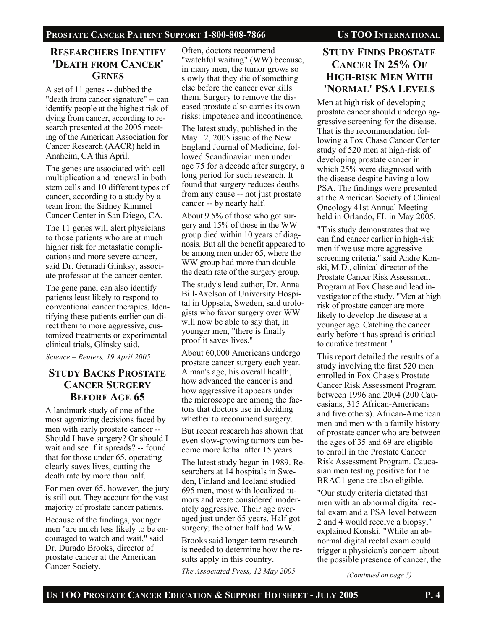#### PROSTATE CANCER PATIENT SUPPORT 1-800-808-7866 US TOO INTERNATIONAL

#### **RESEARCHERS IDENTIFY 'DEATH FROM CANCER' GENES**

A set of 11 genes -- dubbed the "death from cancer signature" -- can identify people at the highest risk of dying from cancer, according to research presented at the 2005 meeting of the American Association for Cancer Research (AACR) held in Anaheim, CA this April.

The genes are associated with cell multiplication and renewal in both stem cells and 10 different types of cancer, according to a study by a team from the Sidney Kimmel Cancer Center in San Diego, CA.

The 11 genes will alert physicians to those patients who are at much higher risk for metastatic complications and more severe cancer, said Dr. Gennadi Glinksy, associate professor at the cancer center.

The gene panel can also identify patients least likely to respond to conventional cancer therapies. Identifying these patients earlier can direct them to more aggressive, customized treatments or experimental clinical trials, Glinsky said.

*Science – Reuters, 19 April 2005* 

## **STUDY BACKS PROSTATE CANCER SURGERY BEFORE AGE 65**

A landmark study of one of the most agonizing decisions faced by men with early prostate cancer -- Should I have surgery? Or should I wait and see if it spreads? -- found that for those under 65, operating clearly saves lives, cutting the death rate by more than half.

For men over 65, however, the jury is still out. They account for the vast majority of prostate cancer patients.

Because of the findings, younger men "are much less likely to be encouraged to watch and wait," said Dr. Durado Brooks, director of prostate cancer at the American Cancer Society.

Often, doctors recommend "watchful waiting" (WW) because, in many men, the tumor grows so slowly that they die of something else before the cancer ever kills them. Surgery to remove the diseased prostate also carries its own risks: impotence and incontinence.

The latest study, published in the May 12, 2005 issue of the New England Journal of Medicine, followed Scandinavian men under age 75 for a decade after surgery, a long period for such research. It found that surgery reduces deaths from any cause -- not just prostate cancer -- by nearly half.

About 9.5% of those who got surgery and 15% of those in the WW group died within 10 years of diagnosis. But all the benefit appeared to be among men under 65, where the WW group had more than double the death rate of the surgery group.

The study's lead author, Dr. Anna Bill-Axelson of University Hospital in Uppsala, Sweden, said urologists who favor surgery over WW will now be able to say that, in younger men, "there is finally proof it saves lives."

About 60,000 Americans undergo prostate cancer surgery each year. A man's age, his overall health, how advanced the cancer is and how aggressive it appears under the microscope are among the factors that doctors use in deciding whether to recommend surgery.

But recent research has shown that even slow-growing tumors can become more lethal after 15 years.

The latest study began in 1989. Researchers at 14 hospitals in Sweden, Finland and Iceland studied 695 men, most with localized tumors and were considered moderately aggressive. Their age averaged just under 65 years. Half got surgery; the other half had WW.

Brooks said longer-term research is needed to determine how the results apply in this country.

*The Associated Press, 12 May 2005* 

# **STUDY FINDS PROSTATE CANCER IN 25% OF HIGH-RISK MEN WITH 'NORMAL' PSA LEVELS**

Men at high risk of developing prostate cancer should undergo aggressive screening for the disease. That is the recommendation following a Fox Chase Cancer Center study of 520 men at high-risk of developing prostate cancer in which 25% were diagnosed with the disease despite having a low PSA. The findings were presented at the American Society of Clinical Oncology 41st Annual Meeting held in Orlando, FL in May 2005.

"This study demonstrates that we can find cancer earlier in high-risk men if we use more aggressive screening criteria," said Andre Konski, M.D., clinical director of the Prostate Cancer Risk Assessment Program at Fox Chase and lead investigator of the study. "Men at high risk of prostate cancer are more likely to develop the disease at a younger age. Catching the cancer early before it has spread is critical to curative treatment."

This report detailed the results of a study involving the first 520 men enrolled in Fox Chase's Prostate Cancer Risk Assessment Program between 1996 and 2004 (200 Caucasians, 315 African-Americans and five others). African-American men and men with a family history of prostate cancer who are between the ages of 35 and 69 are eligible to enroll in the Prostate Cancer Risk Assessment Program. Caucasian men testing positive for the BRAC1 gene are also eligible.

"Our study criteria dictated that men with an abnormal digital rectal exam and a PSA level between 2 and 4 would receive a biopsy," explained Konski. "While an abnormal digital rectal exam could trigger a physician's concern about the possible presence of cancer, the

*(Continued on page 5)*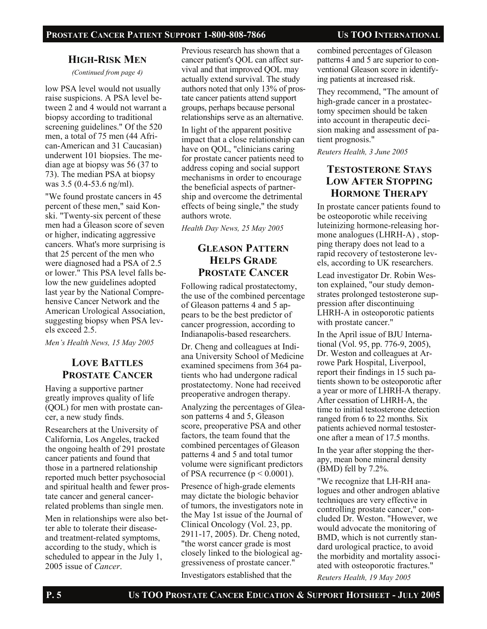#### PROSTATE CANCER PATIENT SUPPORT 1-800-808-7866 US TOO INTERNATIONAL

#### **HIGH-RISK MEN**

*(Continued from page 4)* 

low PSA level would not usually raise suspicions. A PSA level between 2 and 4 would not warrant a biopsy according to traditional screening guidelines." Of the 520 men, a total of 75 men (44 African-American and 31 Caucasian) underwent 101 biopsies. The median age at biopsy was 56 (37 to 73). The median PSA at biopsy was 3.5 (0.4-53.6 ng/ml).

"We found prostate cancers in 45 percent of these men," said Konski. "Twenty-six percent of these men had a Gleason score of seven or higher, indicating aggressive cancers. What's more surprising is that 25 percent of the men who were diagnosed had a PSA of 2.5 or lower." This PSA level falls below the new guidelines adopted last year by the National Comprehensive Cancer Network and the American Urological Association, suggesting biopsy when PSA levels exceed 2.5.

*Men's Health News, 15 May 2005* 

# **LOVE BATTLES PROSTATE CANCER**

Having a supportive partner greatly improves quality of life (QOL) for men with prostate cancer, a new study finds.

Researchers at the University of California, Los Angeles, tracked the ongoing health of 291 prostate cancer patients and found that those in a partnered relationship reported much better psychosocial and spiritual health and fewer prostate cancer and general cancerrelated problems than single men.

Men in relationships were also better able to tolerate their diseaseand treatment-related symptoms, according to the study, which is scheduled to appear in the July 1, 2005 issue of *Cancer*.

Previous research has shown that a cancer patient's QOL can affect survival and that improved QOL may actually extend survival. The study authors noted that only 13% of prostate cancer patients attend support groups, perhaps because personal relationships serve as an alternative.

In light of the apparent positive impact that a close relationship can have on QOL, "clinicians caring for prostate cancer patients need to address coping and social support mechanisms in order to encourage the beneficial aspects of partnership and overcome the detrimental effects of being single," the study authors wrote.

*Health Day News, 25 May 2005* 

# **GLEASON PATTERN HELPS GRADE PROSTATE CANCER**

Following radical prostatectomy, the use of the combined percentage of Gleason patterns 4 and 5 appears to be the best predictor of cancer progression, according to Indianapolis-based researchers.

Dr. Cheng and colleagues at Indiana University School of Medicine examined specimens from 364 patients who had undergone radical prostatectomy. None had received preoperative androgen therapy.

Analyzing the percentages of Gleason patterns 4 and 5, Gleason score, preoperative PSA and other factors, the team found that the combined percentages of Gleason patterns 4 and 5 and total tumor volume were significant predictors of PSA recurrence  $(p < 0.0001)$ .

Presence of high-grade elements may dictate the biologic behavior of tumors, the investigators note in the May 1st issue of the Journal of Clinical Oncology (Vol. 23, pp. 2911-17, 2005). Dr. Cheng noted, "the worst cancer grade is most closely linked to the biological aggressiveness of prostate cancer."

Investigators established that the

combined percentages of Gleason patterns 4 and 5 are superior to conventional Gleason score in identifying patients at increased risk.

They recommend, "The amount of high-grade cancer in a prostatectomy specimen should be taken into account in therapeutic decision making and assessment of patient prognosis."

*Reuters Health, 3 June 2005* 

# **TESTOSTERONE STAYS LOW AFTER STOPPING HORMONE THERAPY**

In prostate cancer patients found to be osteoporotic while receiving luteinizing hormone-releasing hormone analogues (LHRH-A) , stopping therapy does not lead to a rapid recovery of testosterone levels, according to UK researchers.

Lead investigator Dr. Robin Weston explained, "our study demonstrates prolonged testosterone suppression after discontinuing LHRH-A in osteoporotic patients with prostate cancer."

In the April issue of BJU International (Vol. 95, pp. 776-9, 2005), Dr. Weston and colleagues at Arrowe Park Hospital, Liverpool, report their findings in 15 such patients shown to be osteoporotic after a year or more of LHRH-A therapy. After cessation of LHRH-A, the time to initial testosterone detection ranged from 6 to 22 months. Six patients achieved normal testosterone after a mean of 17.5 months.

In the year after stopping the therapy, mean bone mineral density (BMD) fell by 7.2%.

"We recognize that LH-RH analogues and other androgen ablative techniques are very effective in controlling prostate cancer," concluded Dr. Weston. "However, we would advocate the monitoring of BMD, which is not currently standard urological practice, to avoid the morbidity and mortality associated with osteoporotic fractures."

*Reuters Health, 19 May 2005*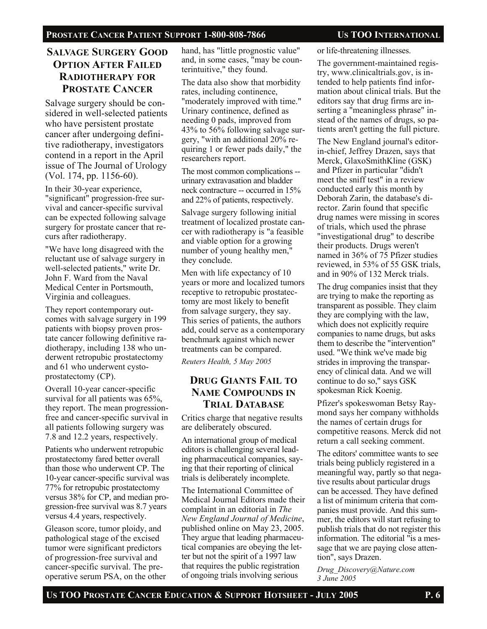# **SALVAGE SURGERY GOOD OPTION AFTER FAILED RADIOTHERAPY FOR PROSTATE CANCER**

Salvage surgery should be considered in well-selected patients who have persistent prostate cancer after undergoing definitive radiotherapy, investigators contend in a report in the April issue of The Journal of Urology (Vol. 174, pp. 1156-60).

In their 30-year experience, "significant" progression-free survival and cancer-specific survival can be expected following salvage surgery for prostate cancer that recurs after radiotherapy.

"We have long disagreed with the reluctant use of salvage surgery in well-selected patients," write Dr. John F. Ward from the Naval Medical Center in Portsmouth, Virginia and colleagues.

They report contemporary outcomes with salvage surgery in 199 patients with biopsy proven prostate cancer following definitive radiotherapy, including 138 who underwent retropubic prostatectomy and 61 who underwent cystoprostatectomy (CP).

Overall 10-year cancer-specific survival for all patients was 65%, they report. The mean progressionfree and cancer-specific survival in all patients following surgery was 7.8 and 12.2 years, respectively.

Patients who underwent retropubic prostatectomy fared better overall than those who underwent CP. The 10-year cancer-specific survival was 77% for retropubic prostatectomy versus 38% for CP, and median progression-free survival was 8.7 years versus 4.4 years, respectively.

Gleason score, tumor ploidy, and pathological stage of the excised tumor were significant predictors of progression-free survival and cancer-specific survival. The preoperative serum PSA, on the other hand, has "little prognostic value" and, in some cases, "may be counterintuitive," they found.

The data also show that morbidity rates, including continence, "moderately improved with time." Urinary continence, defined as needing 0 pads, improved from 43% to 56% following salvage surgery, "with an additional 20% requiring 1 or fewer pads daily," the researchers report.

The most common complications - urinary extravasation and bladder neck contracture -- occurred in 15% and 22% of patients, respectively.

Salvage surgery following initial treatment of localized prostate cancer with radiotherapy is "a feasible and viable option for a growing number of young healthy men," they conclude.

Men with life expectancy of 10 years or more and localized tumors receptive to retropubic prostatectomy are most likely to benefit from salvage surgery, they say. This series of patients, the authors add, could serve as a contemporary benchmark against which newer treatments can be compared.

*Reuters Health, 5 May 2005* 

#### **DRUG GIANTS FAIL TO NAME COMPOUNDS IN TRIAL DATABASE**

Critics charge that negative results are deliberately obscured.

An international group of medical editors is challenging several leading pharmaceutical companies, saying that their reporting of clinical trials is deliberately incomplete.

The International Committee of Medical Journal Editors made their complaint in an editorial in *The New England Journal of Medicine*, published online on May 23, 2005. They argue that leading pharmaceutical companies are obeying the letter but not the spirit of a 1997 law that requires the public registration of ongoing trials involving serious

or life-threatening illnesses.

The government-maintained registry, www.clinicaltrials.gov, is intended to help patients find information about clinical trials. But the editors say that drug firms are inserting a "meaningless phrase" instead of the names of drugs, so patients aren't getting the full picture.

The New England journal's editorin-chief, Jeffrey Drazen, says that Merck, GlaxoSmithKline (GSK) and Pfizer in particular "didn't meet the sniff test" in a review conducted early this month by Deborah Zarin, the database's director. Zarin found that specific drug names were missing in scores of trials, which used the phrase "investigational drug" to describe their products. Drugs weren't named in 36% of 75 Pfizer studies reviewed, in 53% of 55 GSK trials, and in 90% of 132 Merck trials.

The drug companies insist that they are trying to make the reporting as transparent as possible. They claim they are complying with the law, which does not explicitly require companies to name drugs, but asks them to describe the "intervention" used. "We think we've made big strides in improving the transparency of clinical data. And we will continue to do so," says GSK spokesman Rick Koenig.

Pfizer's spokeswoman Betsy Raymond says her company withholds the names of certain drugs for competitive reasons. Merck did not return a call seeking comment.

The editors' committee wants to see trials being publicly registered in a meaningful way, partly so that negative results about particular drugs can be accessed. They have defined a list of minimum criteria that companies must provide. And this summer, the editors will start refusing to publish trials that do not register this information. The editorial "is a message that we are paying close attention", says Drazen.

*Drug\_Discovery@Nature.com 3 June 2005*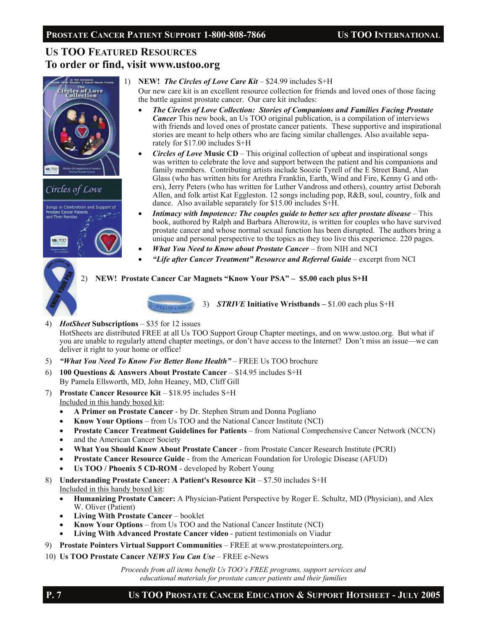# **US TOO FEATURED RESOURCES To order or find, visit www.ustoo.org**





1) **NEW!** *The Circles of Love Care Kit* – \$24.99 includes S+H

Our new care kit is an excellent resource collection for friends and loved ones of those facing the battle against prostate cancer. Our care kit includes:

- *The Circles of Love Collection: Stories of Companions and Families Facing Prostate Cancer* This new book, an Us TOO original publication, is a compilation of interviews with friends and loved ones of prostate cancer patients. These supportive and inspirational stories are meant to help others who are facing similar challenges. Also available separately for \$17.00 includes S+H
- *Circles of Love* **Music CD**This original collection of upbeat and inspirational songs was written to celebrate the love and support between the patient and his companions and family members. Contributing artists include Soozie Tyrell of the E Street Band, Alan Glass (who has written hits for Arethra Franklin, Earth, Wind and Fire, Kenny G and others), Jerry Peters (who has written for Luther Vandross and others), country artist Deborah Allen, and folk artist Kat Eggleston. 12 songs including pop, R&B, soul, country, folk and dance. Also available separately for \$15.00 includes S+H.
- *Intimacy with Impotence: The couples guide to better sex after prostate disease* This book, authored by Ralph and Barbara Alterowitz, is written for couples who have survived prostate cancer and whose normal sexual function has been disrupted. The authors bring a unique and personal perspective to the topics as they too live this experience. 220 pages.
- *What You Need to Know about Prostate Cancer* from NIH and NCI
- *"Life after Cancer Treatment" Resource and Referral Guide* excerpt from NCI

#### 2) **NEW! Prostate Cancer Car Magnets "Know Your PSA" – \$5.00 each plus S+H**



3) *STRIVE* **Initiative Wristbands –** \$1.00 each plus S+H

4) *HotSheet* **Subscriptions** – \$35 for 12 issues

HotSheets are distributed FREE at all Us TOO Support Group Chapter meetings, and on www.ustoo.org. But what if you are unable to regularly attend chapter meetings, or don't have access to the Internet? Don't miss an issue—we can deliver it right to your home or office!

- 5) *"What You Need To Know For Better Bone Health"* FREE Us TOO brochure
- 6) **100 Questions & Answers About Prostate Cancer**  \$14.95 includes S+H By Pamela Ellsworth, MD, John Heaney, MD, Cliff Gill
- 7) **Prostate Cancer Resource Kit \$18.95 includes S+H** Included in this handy boxed kit:
	- **A Primer on Prostate Cancer**  by Dr. Stephen Strum and Donna Pogliano
	- **Know Your Options**  from Us TOO and the National Cancer Institute (NCI)
	- **Prostate Cancer Treatment Guidelines for Patients**  from National Comprehensive Cancer Network (NCCN)
	- and the American Cancer Society
	- **What You Should Know About Prostate Cancer**  from Prostate Cancer Research Institute (PCRI)
	- **Prostate Cancer Resource Guide**  from the American Foundation for Urologic Disease (AFUD)
	- **Us TOO / Phoenix 5 CD-ROM**  developed by Robert Young
- 8) **Understanding Prostate Cancer: A Patient's Resource Kit \$7.50 includes S+H** Included in this handy boxed kit:
	- **Humanizing Prostate Cancer:** A Physician-Patient Perspective by Roger E. Schultz, MD (Physician), and Alex W. Oliver (Patient)
	- **Living With Prostate Cancer**  booklet
	- **Know Your Options**  from Us TOO and the National Cancer Institute (NCI)
	- **Living With Advanced Prostate Cancer video**  patient testimonials on Viadur
- 9) **Prostate Pointers Virtual Support Communities**  FREE at www.prostatepointers.org.
- 10) **Us TOO Prostate Cancer** *NEWS You Can Use* FREE e-News

*Proceeds from all items benefit Us TOO's FREE programs, support services and educational materials for prostate cancer patients and their families*